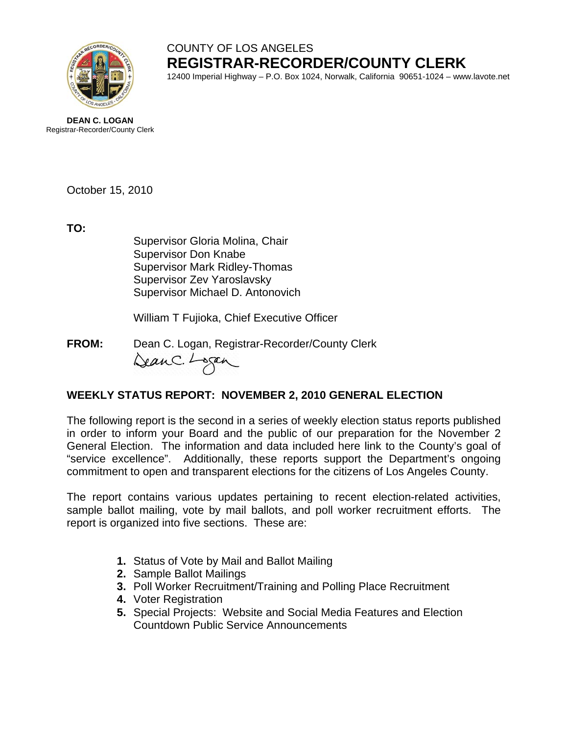

# COUNTY OF LOS ANGELES **REGISTRAR-RECORDER/COUNTY CLERK**

12400 Imperial Highway – P.O. Box 1024, Norwalk, California 90651-1024 – www.lavote.net

**DEAN C. LOGAN** Registrar-Recorder/County Clerk

October 15, 2010

**TO:**

Supervisor Gloria Molina, Chair Supervisor Don Knabe Supervisor Mark Ridley-Thomas Supervisor Zev Yaroslavsky Supervisor Michael D. Antonovich

William T Fujioka, Chief Executive Officer

**FROM:** Dean C. Logan, Registrar-Recorder/County Clerk DeanC. Logan

# **WEEKLY STATUS REPORT: NOVEMBER 2, 2010 GENERAL ELECTION**

The following report is the second in a series of weekly election status reports published in order to inform your Board and the public of our preparation for the November 2 General Election. The information and data included here link to the County's goal of "service excellence". Additionally, these reports support the Department's ongoing commitment to open and transparent elections for the citizens of Los Angeles County.

The report contains various updates pertaining to recent election-related activities, sample ballot mailing, vote by mail ballots, and poll worker recruitment efforts. The report is organized into five sections. These are:

- **1.** Status of Vote by Mail and Ballot Mailing
- **2.** Sample Ballot Mailings
- **3.** Poll Worker Recruitment/Training and Polling Place Recruitment
- **4.** Voter Registration
- **5.** Special Projects: Website and Social Media Features and Election Countdown Public Service Announcements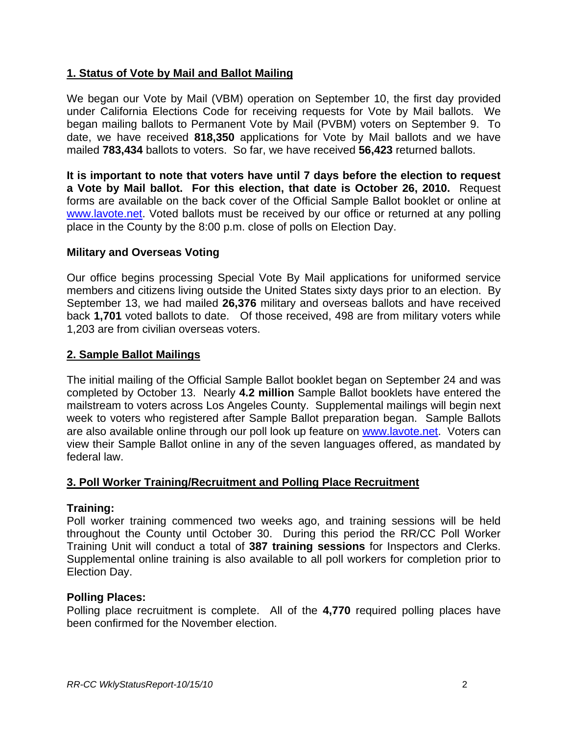# **1. Status of Vote by Mail and Ballot Mailing**

We began our Vote by Mail (VBM) operation on September 10, the first day provided under California Elections Code for receiving requests for Vote by Mail ballots. We began mailing ballots to Permanent Vote by Mail (PVBM) voters on September 9. To date, we have received **818,350** applications for Vote by Mail ballots and we have mailed **783,434** ballots to voters. So far, we have received **56,423** returned ballots.

**It is important to note that voters have until 7 days before the election to request a Vote by Mail ballot. For this election, that date is October 26, 2010.** Request forms are available on the back cover of the Official Sample Ballot booklet or online at [www.lavote.net](http://www.lavote.net/). Voted ballots must be received by our office or returned at any polling place in the County by the 8:00 p.m. close of polls on Election Day.

# **Military and Overseas Voting**

Our office begins processing Special Vote By Mail applications for uniformed service members and citizens living outside the United States sixty days prior to an election. By September 13, we had mailed **26,376** military and overseas ballots and have received back **1,701** voted ballots to date. Of those received, 498 are from military voters while 1,203 are from civilian overseas voters.

## **2. Sample Ballot Mailings**

The initial mailing of the Official Sample Ballot booklet began on September 24 and was completed by October 13. Nearly **4.2 million** Sample Ballot booklets have entered the mailstream to voters across Los Angeles County. Supplemental mailings will begin next week to voters who registered after Sample Ballot preparation began. Sample Ballots are also available online through our poll look up feature on [www.lavote.net](http://www.lavote.net/). Voters can view their Sample Ballot online in any of the seven languages offered, as mandated by federal law.

## **3. Poll Worker Training/Recruitment and Polling Place Recruitment**

#### **Training:**

Poll worker training commenced two weeks ago, and training sessions will be held throughout the County until October 30. During this period the RR/CC Poll Worker Training Unit will conduct a total of **387 training sessions** for Inspectors and Clerks. Supplemental online training is also available to all poll workers for completion prior to Election Day.

#### **Polling Places:**

Polling place recruitment is complete. All of the **4,770** required polling places have been confirmed for the November election.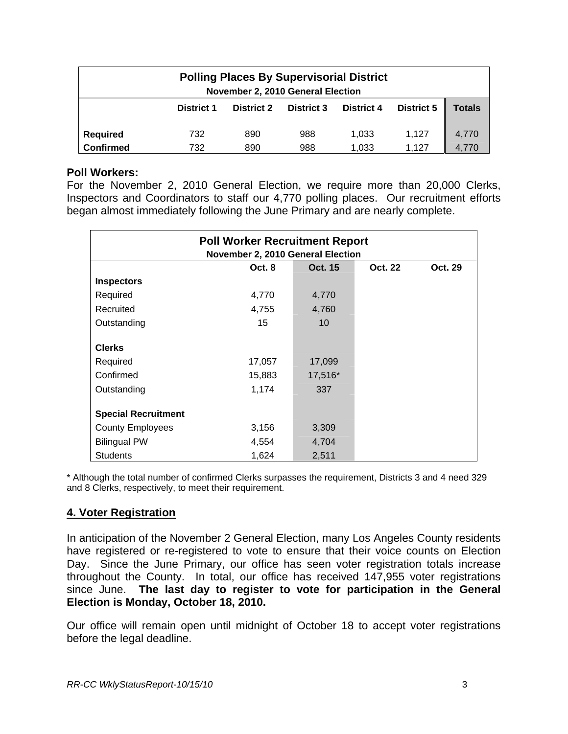| <b>Polling Places By Supervisorial District</b><br>November 2, 2010 General Election |                   |                   |                   |                   |                   |        |  |  |
|--------------------------------------------------------------------------------------|-------------------|-------------------|-------------------|-------------------|-------------------|--------|--|--|
|                                                                                      | <b>District 1</b> | <b>District 2</b> | <b>District 3</b> | <b>District 4</b> | <b>District 5</b> | Totals |  |  |
|                                                                                      |                   |                   |                   |                   |                   |        |  |  |
| <b>Required</b>                                                                      | 732               | 890               | 988               | 1,033             | 1.127             | 4,770  |  |  |
| <b>Confirmed</b>                                                                     | 732               | 890               | 988               | 1,033             | 1.127             | 4.770  |  |  |

### **Poll Workers:**

For the November 2, 2010 General Election, we require more than 20,000 Clerks, Inspectors and Coordinators to staff our 4,770 polling places. Our recruitment efforts began almost immediately following the June Primary and are nearly complete.

| <b>Poll Worker Recruitment Report</b><br>November 2, 2010 General Election |        |         |                |         |  |  |  |
|----------------------------------------------------------------------------|--------|---------|----------------|---------|--|--|--|
|                                                                            | Oct. 8 | Oct. 15 | <b>Oct. 22</b> | Oct. 29 |  |  |  |
| <b>Inspectors</b>                                                          |        |         |                |         |  |  |  |
| Required                                                                   | 4,770  | 4,770   |                |         |  |  |  |
| Recruited                                                                  | 4,755  | 4,760   |                |         |  |  |  |
| Outstanding                                                                | 15     | 10      |                |         |  |  |  |
| <b>Clerks</b>                                                              |        |         |                |         |  |  |  |
| Required                                                                   | 17,057 | 17,099  |                |         |  |  |  |
| Confirmed                                                                  | 15,883 | 17,516* |                |         |  |  |  |
| Outstanding                                                                | 1,174  | 337     |                |         |  |  |  |
| <b>Special Recruitment</b>                                                 |        |         |                |         |  |  |  |
| <b>County Employees</b>                                                    | 3,156  | 3,309   |                |         |  |  |  |
| <b>Bilingual PW</b>                                                        | 4,554  | 4,704   |                |         |  |  |  |
| <b>Students</b>                                                            | 1,624  | 2,511   |                |         |  |  |  |

\* Although the total number of confirmed Clerks surpasses the requirement, Districts 3 and 4 need 329 and 8 Clerks, respectively, to meet their requirement.

## **4. Voter Registration**

In anticipation of the November 2 General Election, many Los Angeles County residents have registered or re-registered to vote to ensure that their voice counts on Election Day. Since the June Primary, our office has seen voter registration totals increase throughout the County. In total, our office has received 147,955 voter registrations since June. **The last day to register to vote for participation in the General Election is Monday, October 18, 2010.** 

Our office will remain open until midnight of October 18 to accept voter registrations before the legal deadline.